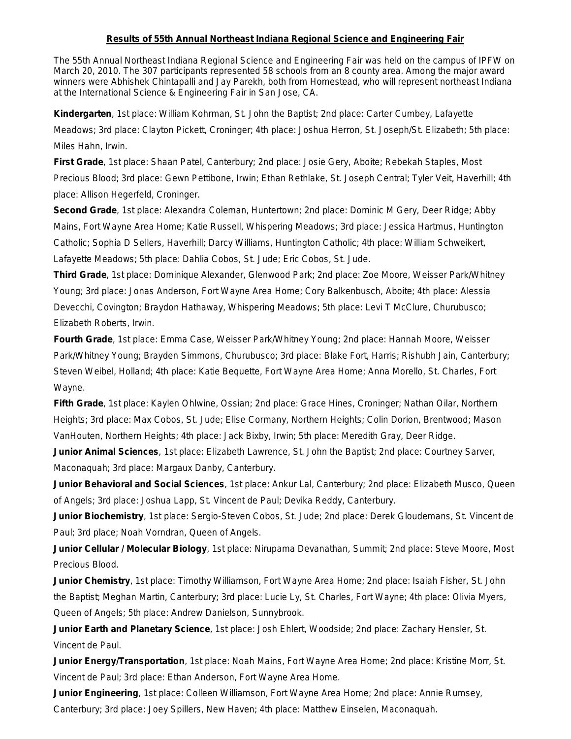## **Results of 55th Annual Northeast Indiana Regional Science and Engineering Fair**

The 55th Annual Northeast Indiana Regional Science and Engineering Fair was held on the campus of IPFW on March 20, 2010. The 307 participants represented 58 schools from an 8 county area. Among the major award winners were Abhishek Chintapalli and Jay Parekh, both from Homestead, who will represent northeast Indiana at the International Science & Engineering Fair in San Jose, CA.

**Kindergarten**, 1st place: William Kohrman, St. John the Baptist; 2nd place: Carter Cumbey, Lafayette Meadows; 3rd place: Clayton Pickett, Croninger; 4th place: Joshua Herron, St. Joseph/St. Elizabeth; 5th place: Miles Hahn, Irwin.

**First Grade**, 1st place: Shaan Patel, Canterbury; 2nd place: Josie Gery, Aboite; Rebekah Staples, Most Precious Blood; 3rd place: Gewn Pettibone, Irwin; Ethan Rethlake, St. Joseph Central; Tyler Veit, Haverhill; 4th place: Allison Hegerfeld, Croninger.

**Second Grade**, 1st place: Alexandra Coleman, Huntertown; 2nd place: Dominic M Gery, Deer Ridge; Abby Mains, Fort Wayne Area Home; Katie Russell, Whispering Meadows; 3rd place: Jessica Hartmus, Huntington Catholic; Sophia D Sellers, Haverhill; Darcy Williams, Huntington Catholic; 4th place: William Schweikert, Lafayette Meadows; 5th place: Dahlia Cobos, St. Jude; Eric Cobos, St. Jude.

**Third Grade**, 1st place: Dominique Alexander, Glenwood Park; 2nd place: Zoe Moore, Weisser Park/Whitney Young; 3rd place: Jonas Anderson, Fort Wayne Area Home; Cory Balkenbusch, Aboite; 4th place: Alessia Devecchi, Covington; Braydon Hathaway, Whispering Meadows; 5th place: Levi T McClure, Churubusco; Elizabeth Roberts, Irwin.

**Fourth Grade**, 1st place: Emma Case, Weisser Park/Whitney Young; 2nd place: Hannah Moore, Weisser Park/Whitney Young; Brayden Simmons, Churubusco; 3rd place: Blake Fort, Harris; Rishubh Jain, Canterbury; Steven Weibel, Holland; 4th place: Katie Bequette, Fort Wayne Area Home; Anna Morello, St. Charles, Fort Wayne.

**Fifth Grade**, 1st place: Kaylen Ohlwine, Ossian; 2nd place: Grace Hines, Croninger; Nathan Oilar, Northern Heights; 3rd place: Max Cobos, St. Jude; Elise Cormany, Northern Heights; Colin Dorion, Brentwood; Mason VanHouten, Northern Heights; 4th place: Jack Bixby, Irwin; 5th place: Meredith Gray, Deer Ridge.

**Junior Animal Sciences**, 1st place: Elizabeth Lawrence, St. John the Baptist; 2nd place: Courtney Sarver, Maconaquah; 3rd place: Margaux Danby, Canterbury.

**Junior Behavioral and Social Sciences**, 1st place: Ankur Lal, Canterbury; 2nd place: Elizabeth Musco, Queen of Angels; 3rd place: Joshua Lapp, St. Vincent de Paul; Devika Reddy, Canterbury.

**Junior Biochemistry**, 1st place: Sergio-Steven Cobos, St. Jude; 2nd place: Derek Gloudemans, St. Vincent de Paul; 3rd place; Noah Vorndran, Queen of Angels.

**Junior Cellular / Molecular Biology**, 1st place: Nirupama Devanathan, Summit; 2nd place: Steve Moore, Most Precious Blood.

**Junior Chemistry**, 1st place: Timothy Williamson, Fort Wayne Area Home; 2nd place: Isaiah Fisher, St. John the Baptist; Meghan Martin, Canterbury; 3rd place: Lucie Ly, St. Charles, Fort Wayne; 4th place: Olivia Myers, Queen of Angels; 5th place: Andrew Danielson, Sunnybrook.

**Junior Earth and Planetary Science**, 1st place: Josh Ehlert, Woodside; 2nd place: Zachary Hensler, St. Vincent de Paul.

**Junior Energy/Transportation**, 1st place: Noah Mains, Fort Wayne Area Home; 2nd place: Kristine Morr, St. Vincent de Paul; 3rd place: Ethan Anderson, Fort Wayne Area Home.

**Junior Engineering**, 1st place: Colleen Williamson, Fort Wayne Area Home; 2nd place: Annie Rumsey,

Canterbury; 3rd place: Joey Spillers, New Haven; 4th place: Matthew Einselen, Maconaquah.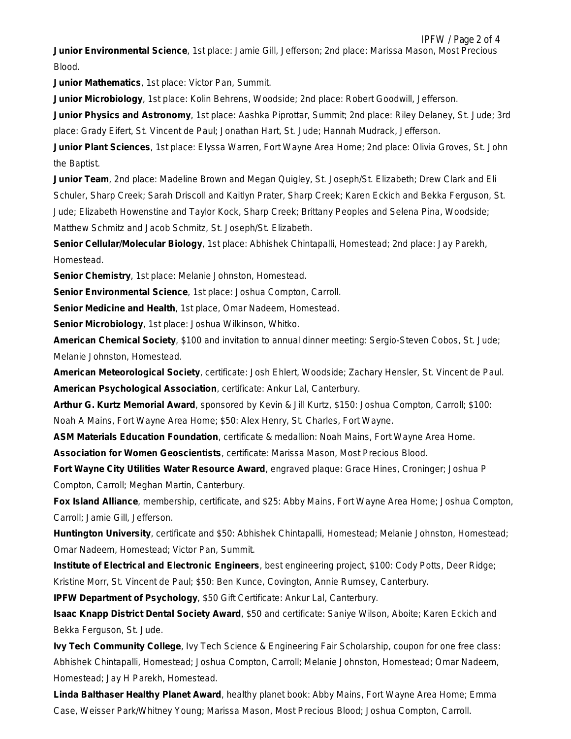IPFW / Page 2 of 4 **Junior Environmental Science**, 1st place: Jamie Gill, Jefferson; 2nd place: Marissa Mason, Most Precious Blood.

**Junior Mathematics**, 1st place: Victor Pan, Summit.

**Junior Microbiology**, 1st place: Kolin Behrens, Woodside; 2nd place: Robert Goodwill, Jefferson.

**Junior Physics and Astronomy**, 1st place: Aashka Piprottar, Summit; 2nd place: Riley Delaney, St. Jude; 3rd place: Grady Eifert, St. Vincent de Paul; Jonathan Hart, St. Jude; Hannah Mudrack, Jefferson.

**Junior Plant Sciences**, 1st place: Elyssa Warren, Fort Wayne Area Home; 2nd place: Olivia Groves, St. John the Baptist.

**Junior Team**, 2nd place: Madeline Brown and Megan Quigley, St. Joseph/St. Elizabeth; Drew Clark and Eli Schuler, Sharp Creek; Sarah Driscoll and Kaitlyn Prater, Sharp Creek; Karen Eckich and Bekka Ferguson, St. Jude; Elizabeth Howenstine and Taylor Kock, Sharp Creek; Brittany Peoples and Selena Pina, Woodside; Matthew Schmitz and Jacob Schmitz, St. Joseph/St. Elizabeth.

**Senior Cellular/Molecular Biology**, 1st place: Abhishek Chintapalli, Homestead; 2nd place: Jay Parekh, Homestead.

**Senior Chemistry**, 1st place: Melanie Johnston, Homestead.

**Senior Environmental Science**, 1st place: Joshua Compton, Carroll.

**Senior Medicine and Health**, 1st place, Omar Nadeem, Homestead.

**Senior Microbiology**, 1st place: Joshua Wilkinson, Whitko.

**American Chemical Society**, \$100 and invitation to annual dinner meeting: Sergio-Steven Cobos, St. Jude; Melanie Johnston, Homestead.

**American Meteorological Society**, certificate: Josh Ehlert, Woodside; Zachary Hensler, St. Vincent de Paul. **American Psychological Association**, certificate: Ankur Lal, Canterbury.

**Arthur G. Kurtz Memorial Award**, sponsored by Kevin & Jill Kurtz, \$150: Joshua Compton, Carroll; \$100: Noah A Mains, Fort Wayne Area Home; \$50: Alex Henry, St. Charles, Fort Wayne.

**ASM Materials Education Foundation**, certificate & medallion: Noah Mains, Fort Wayne Area Home.

**Association for Women Geoscientists**, certificate: Marissa Mason, Most Precious Blood.

**Fort Wayne City Utilities Water Resource Award**, engraved plaque: Grace Hines, Croninger; Joshua P Compton, Carroll; Meghan Martin, Canterbury.

**Fox Island Alliance**, membership, certificate, and \$25: Abby Mains, Fort Wayne Area Home; Joshua Compton, Carroll; Jamie Gill, Jefferson.

**Huntington University**, certificate and \$50: Abhishek Chintapalli, Homestead; Melanie Johnston, Homestead; Omar Nadeem, Homestead; Victor Pan, Summit.

**Institute of Electrical and Electronic Engineers**, best engineering project, \$100: Cody Potts, Deer Ridge; Kristine Morr, St. Vincent de Paul; \$50: Ben Kunce, Covington, Annie Rumsey, Canterbury.

**IPFW Department of Psychology**, \$50 Gift Certificate: Ankur Lal, Canterbury.

**Isaac Knapp District Dental Society Award**, \$50 and certificate: Saniye Wilson, Aboite; Karen Eckich and Bekka Ferguson, St. Jude.

**Ivy Tech Community College**, Ivy Tech Science & Engineering Fair Scholarship, coupon for one free class: Abhishek Chintapalli, Homestead; Joshua Compton, Carroll; Melanie Johnston, Homestead; Omar Nadeem, Homestead; Jay H Parekh, Homestead.

**Linda Balthaser Healthy Planet Award**, healthy planet book: Abby Mains, Fort Wayne Area Home; Emma Case, Weisser Park/Whitney Young; Marissa Mason, Most Precious Blood; Joshua Compton, Carroll.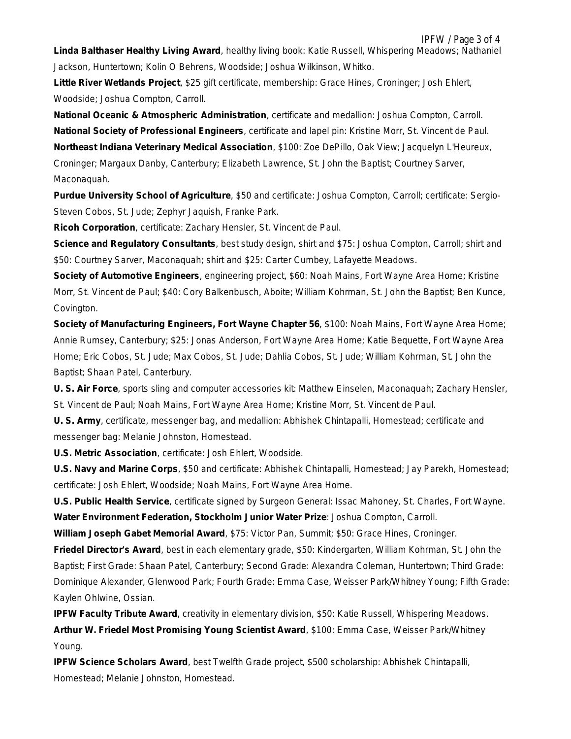**Little River Wetlands Project**, \$25 gift certificate, membership: Grace Hines, Croninger; Josh Ehlert, Woodside; Joshua Compton, Carroll.

**National Oceanic & Atmospheric Administration**, certificate and medallion: Joshua Compton, Carroll. **National Society of Professional Engineers**, certificate and lapel pin: Kristine Morr, St. Vincent de Paul. **Northeast Indiana Veterinary Medical Association**, \$100: Zoe DePillo, Oak View; Jacquelyn L'Heureux, Croninger; Margaux Danby, Canterbury; Elizabeth Lawrence, St. John the Baptist; Courtney Sarver, Maconaquah.

**Purdue University School of Agriculture**, \$50 and certificate: Joshua Compton, Carroll; certificate: Sergio-Steven Cobos, St. Jude; Zephyr Jaquish, Franke Park.

**Ricoh Corporation**, certificate: Zachary Hensler, St. Vincent de Paul.

**Science and Regulatory Consultants**, best study design, shirt and \$75: Joshua Compton, Carroll; shirt and \$50: Courtney Sarver, Maconaquah; shirt and \$25: Carter Cumbey, Lafayette Meadows.

**Society of Automotive Engineers**, engineering project, \$60: Noah Mains, Fort Wayne Area Home; Kristine Morr, St. Vincent de Paul; \$40: Cory Balkenbusch, Aboite; William Kohrman, St. John the Baptist; Ben Kunce, Covington.

**Society of Manufacturing Engineers, Fort Wayne Chapter 56**, \$100: Noah Mains, Fort Wayne Area Home; Annie Rumsey, Canterbury; \$25: Jonas Anderson, Fort Wayne Area Home; Katie Bequette, Fort Wayne Area Home; Eric Cobos, St. Jude; Max Cobos, St. Jude; Dahlia Cobos, St. Jude; William Kohrman, St. John the Baptist; Shaan Patel, Canterbury.

**U. S. Air Force**, sports sling and computer accessories kit: Matthew Einselen, Maconaquah; Zachary Hensler, St. Vincent de Paul; Noah Mains, Fort Wayne Area Home; Kristine Morr, St. Vincent de Paul.

**U. S. Army**, certificate, messenger bag, and medallion: Abhishek Chintapalli, Homestead; certificate and messenger bag: Melanie Johnston, Homestead.

**U.S. Metric Association**, certificate: Josh Ehlert, Woodside.

**U.S. Navy and Marine Corps**, \$50 and certificate: Abhishek Chintapalli, Homestead; Jay Parekh, Homestead; certificate: Josh Ehlert, Woodside; Noah Mains, Fort Wayne Area Home.

**U.S. Public Health Service**, certificate signed by Surgeon General: Issac Mahoney, St. Charles, Fort Wayne.

**Water Environment Federation, Stockholm Junior Water Prize**: Joshua Compton, Carroll.

**William Joseph Gabet Memorial Award**, \$75: Victor Pan, Summit; \$50: Grace Hines, Croninger.

**Friedel Director's Award**, best in each elementary grade, \$50: Kindergarten, William Kohrman, St. John the Baptist; First Grade: Shaan Patel, Canterbury; Second Grade: Alexandra Coleman, Huntertown; Third Grade: Dominique Alexander, Glenwood Park; Fourth Grade: Emma Case, Weisser Park/Whitney Young; Fifth Grade: Kaylen Ohlwine, Ossian.

**IPFW Faculty Tribute Award**, creativity in elementary division, \$50: Katie Russell, Whispering Meadows. **Arthur W. Friedel Most Promising Young Scientist Award**, \$100: Emma Case, Weisser Park/Whitney Young.

**IPFW Science Scholars Award**, best Twelfth Grade project, \$500 scholarship: Abhishek Chintapalli, Homestead; Melanie Johnston, Homestead.